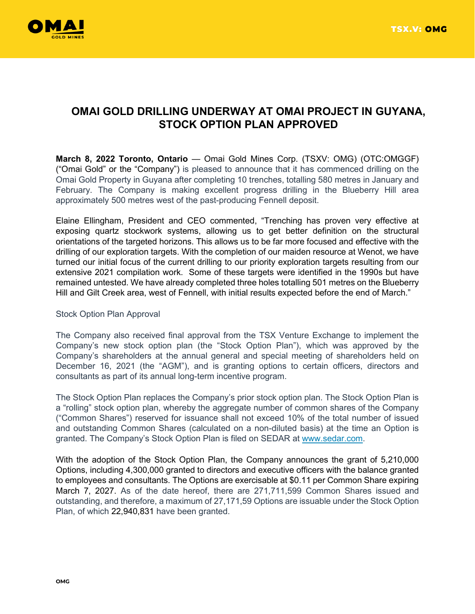

## **OMAI GOLD DRILLING UNDERWAY AT OMAI PROJECT IN GUYANA, STOCK OPTION PLAN APPROVED**

**March 8, 2022 Toronto, Ontario** — Omai Gold Mines Corp. (TSXV: OMG) (OTC:OMGGF) ("Omai Gold" or the "Company") is pleased to announce that it has commenced drilling on the Omai Gold Property in Guyana after completing 10 trenches, totalling 580 metres in January and February. The Company is making excellent progress drilling in the Blueberry Hill area approximately 500 metres west of the past-producing Fennell deposit.

Elaine Ellingham, President and CEO commented, "Trenching has proven very effective at exposing quartz stockwork systems, allowing us to get better definition on the structural orientations of the targeted horizons. This allows us to be far more focused and effective with the drilling of our exploration targets. With the completion of our maiden resource at Wenot, we have turned our initial focus of the current drilling to our priority exploration targets resulting from our extensive 2021 compilation work. Some of these targets were identified in the 1990s but have remained untested. We have already completed three holes totalling 501 metres on the Blueberry Hill and Gilt Creek area, west of Fennell, with initial results expected before the end of March."

## Stock Option Plan Approval

The Company also received final approval from the TSX Venture Exchange to implement the Company's new stock option plan (the "Stock Option Plan"), which was approved by the Company's shareholders at the annual general and special meeting of shareholders held on December 16, 2021 (the "AGM"), and is granting options to certain officers, directors and consultants as part of its annual long-term incentive program.

The Stock Option Plan replaces the Company's prior stock option plan. The Stock Option Plan is a "rolling" stock option plan, whereby the aggregate number of common shares of the Company ("Common Shares") reserved for issuance shall not exceed 10% of the total number of issued and outstanding Common Shares (calculated on a non-diluted basis) at the time an Option is granted. The Company's Stock Option Plan is filed on SEDAR at [www.sedar.com.](https://www.globenewswire.com/Tracker?data=7FQCL3ugR5yZoQGf_AfAm2B69H0eGHuruv6EqR2o3O04FUWlT_KqLoOj1Qxk7Z4DjQX7CQV-hkthnaM7p_dz_A==)

With the adoption of the Stock Option Plan, the Company announces the grant of 5,210,000 Options, including 4,300,000 granted to directors and executive officers with the balance granted to employees and consultants. The Options are exercisable at \$0.11 per Common Share expiring March 7, 2027. As of the date hereof, there are 271,711,599 Common Shares issued and outstanding, and therefore, a maximum of 27,171,59 Options are issuable under the Stock Option Plan, of which 22,940,831 have been granted.